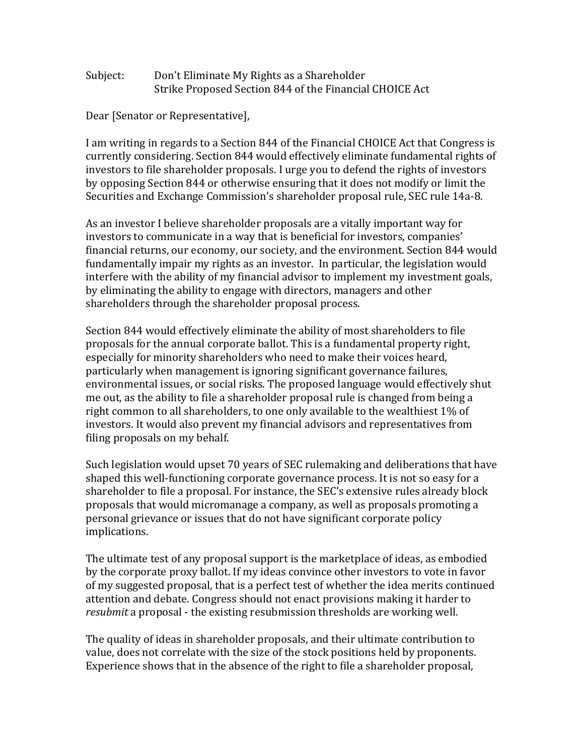## Subject: Don't Eliminate My Rights as a Shareholder Strike Proposed Section 844 of the Financial CHOICE Act

Dear [Senator or Representative],

I am writing in regards to a Section 844 of the Financial CHOICE Act that Congress is currently considering. Section 844 would effectively eliminate fundamental rights of investors to file shareholder proposals. I urge you to defend the rights of investors by opposing Section 844 or otherwise ensuring that it does not modify or limit the Securities and Exchange Commission's shareholder proposal rule, SEC rule 14a-8.

As an investor I believe shareholder proposals are a vitally important way for investors to communicate in a way that is beneficial for investors, companies' financial returns, our economy, our society, and the environment. Section 844 would fundamentally impair my rights as an investor. In particular, the legislation would interfere with the ability of my financial advisor to implement my investment goals, by eliminating the ability to engage with directors, managers and other shareholders through the shareholder proposal process.

Section 844 would effectively eliminate the ability of most shareholders to file proposals for the annual corporate ballot. This is a fundamental property right, especially for minority shareholders who need to make their voices heard, particularly when management is ignoring significant governance failures, environmental issues, or social risks. The proposed language would effectively shut me out, as the ability to file a shareholder proposal rule is changed from being a right common to all shareholders, to one only available to the wealthiest  $1\%$  of investors. It would also prevent my financial advisors and representatives from filing proposals on my behalf.

Such legislation would upset 70 years of SEC rulemaking and deliberations that have shaped this well-functioning corporate governance process. It is not so easy for a shareholder to file a proposal. For instance, the SEC's extensive rules already block proposals that would micromanage a company, as well as proposals promoting a personal grievance or issues that do not have significant corporate policy implications. 

The ultimate test of any proposal support is the marketplace of ideas, as embodied by the corporate proxy ballot. If my ideas convince other investors to vote in favor of my suggested proposal, that is a perfect test of whether the idea merits continued attention and debate. Congress should not enact provisions making it harder to *resubmit* a proposal - the existing resubmission thresholds are working well.

The quality of ideas in shareholder proposals, and their ultimate contribution to value, does not correlate with the size of the stock positions held by proponents. Experience shows that in the absence of the right to file a shareholder proposal,